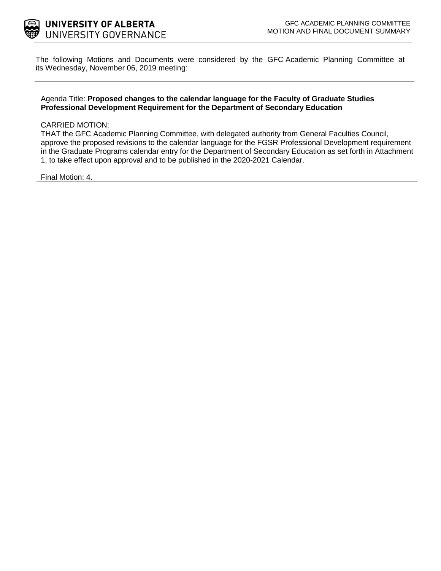

The following Motions and Documents were considered by the GFC Academic Planning Committee at its Wednesday, November 06, 2019 meeting:

#### Agenda Title: **Proposed changes to the calendar language for the Faculty of Graduate Studies Professional Development Requirement for the Department of Secondary Education**

#### CARRIED MOTION:

THAT the GFC Academic Planning Committee, with delegated authority from General Faculties Council, approve the proposed revisions to the calendar language for the FGSR Professional Development requirement in the Graduate Programs calendar entry for the Department of Secondary Education as set forth in Attachment 1, to take effect upon approval and to be published in the 2020-2021 Calendar.

Final Motion: 4.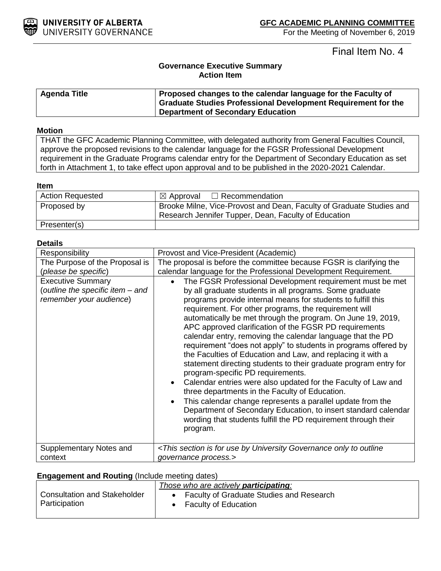

Final Item No. 4

# **Governance Executive Summary Action Item**

| <b>Agenda Title</b> | Proposed changes to the calendar language for the Faculty of<br>Graduate Studies Professional Development Requirement for the |
|---------------------|-------------------------------------------------------------------------------------------------------------------------------|
|                     | Department of Secondary Education                                                                                             |

### **Motion**

THAT the GFC Academic Planning Committee, with delegated authority from General Faculties Council, approve the proposed revisions to the calendar language for the FGSR Professional Development requirement in the Graduate Programs calendar entry for the Department of Secondary Education as set forth in Attachment 1, to take effect upon approval and to be published in the 2020-2021 Calendar.

#### **Item**

| <b>Action Requested</b> | $\boxtimes$ Approval $\Box$ Recommendation                                                                                   |
|-------------------------|------------------------------------------------------------------------------------------------------------------------------|
| Proposed by             | Brooke Milne, Vice-Provost and Dean, Faculty of Graduate Studies and<br>Research Jennifer Tupper, Dean, Faculty of Education |
|                         |                                                                                                                              |
| Presenter(s)            |                                                                                                                              |

#### **Details**

| Responsibility                                                                          | Provost and Vice-President (Academic)                                                                                                                                                                                                                                                                                                                                                                                                                                                                                                                                                                                                                                                                                                                                                                                                                                                                                                                                                                            |
|-----------------------------------------------------------------------------------------|------------------------------------------------------------------------------------------------------------------------------------------------------------------------------------------------------------------------------------------------------------------------------------------------------------------------------------------------------------------------------------------------------------------------------------------------------------------------------------------------------------------------------------------------------------------------------------------------------------------------------------------------------------------------------------------------------------------------------------------------------------------------------------------------------------------------------------------------------------------------------------------------------------------------------------------------------------------------------------------------------------------|
| The Purpose of the Proposal is                                                          | The proposal is before the committee because FGSR is clarifying the                                                                                                                                                                                                                                                                                                                                                                                                                                                                                                                                                                                                                                                                                                                                                                                                                                                                                                                                              |
| (please be specific)                                                                    | calendar language for the Professional Development Requirement.                                                                                                                                                                                                                                                                                                                                                                                                                                                                                                                                                                                                                                                                                                                                                                                                                                                                                                                                                  |
| <b>Executive Summary</b><br>(outline the specific item - and<br>remember your audience) | The FGSR Professional Development requirement must be met<br>by all graduate students in all programs. Some graduate<br>programs provide internal means for students to fulfill this<br>requirement. For other programs, the requirement will<br>automatically be met through the program. On June 19, 2019,<br>APC approved clarification of the FGSR PD requirements<br>calendar entry, removing the calendar language that the PD<br>requirement "does not apply" to students in programs offered by<br>the Faculties of Education and Law, and replacing it with a<br>statement directing students to their graduate program entry for<br>program-specific PD requirements.<br>Calendar entries were also updated for the Faculty of Law and<br>three departments in the Faculty of Education.<br>This calendar change represents a parallel update from the<br>Department of Secondary Education, to insert standard calendar<br>wording that students fulfill the PD requirement through their<br>program. |
| Supplementary Notes and                                                                 | <this by="" for="" governance="" is="" only="" outline<="" section="" td="" to="" university="" use=""></this>                                                                                                                                                                                                                                                                                                                                                                                                                                                                                                                                                                                                                                                                                                                                                                                                                                                                                                   |
| context                                                                                 | governance process.>                                                                                                                                                                                                                                                                                                                                                                                                                                                                                                                                                                                                                                                                                                                                                                                                                                                                                                                                                                                             |
|                                                                                         |                                                                                                                                                                                                                                                                                                                                                                                                                                                                                                                                                                                                                                                                                                                                                                                                                                                                                                                                                                                                                  |

#### **Engagement and Routing** (Include meeting dates)

|                                     | Those who are actively <b>participating</b> : |
|-------------------------------------|-----------------------------------------------|
| <b>Consultation and Stakeholder</b> | Faculty of Graduate Studies and Research      |
| Participation                       | <b>Faculty of Education</b>                   |
|                                     |                                               |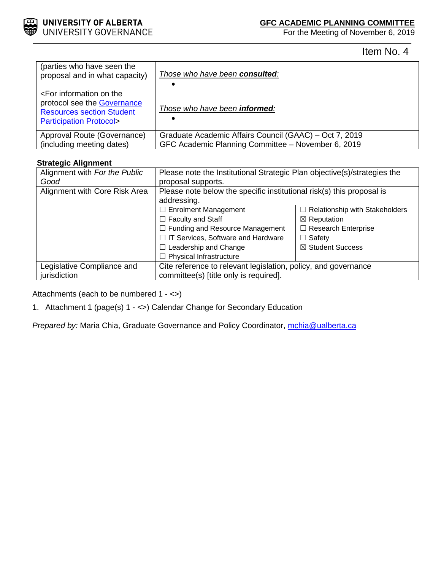

For the Meeting of November 6, 2019

Item No. 4

| (parties who have seen the                                                                                                                       | Those who have been consulted:                         |
|--------------------------------------------------------------------------------------------------------------------------------------------------|--------------------------------------------------------|
| proposal and in what capacity)                                                                                                                   | ٠                                                      |
| <for information="" on="" the<br="">protocol see the Governance<br/><b>Resources section Student</b><br/><b>Participation Protocol&gt;</b></for> | Those who have been <b>informed</b> :<br>٠             |
| Approval Route (Governance)                                                                                                                      | Graduate Academic Affairs Council (GAAC) – Oct 7, 2019 |
| (including meeting dates)                                                                                                                        | GFC Academic Planning Committee - November 6, 2019     |

## **Strategic Alignment**

| Alignment with For the Public | Please note the Institutional Strategic Plan objective(s)/strategies the |                                       |
|-------------------------------|--------------------------------------------------------------------------|---------------------------------------|
| Good                          | proposal supports.                                                       |                                       |
| Alignment with Core Risk Area | Please note below the specific institutional risk(s) this proposal is    |                                       |
|                               | addressing.                                                              |                                       |
|                               | $\Box$ Enrolment Management                                              | $\Box$ Relationship with Stakeholders |
|                               | $\Box$ Faculty and Staff                                                 | $\boxtimes$ Reputation                |
|                               | $\Box$ Funding and Resource Management                                   | □ Research Enterprise                 |
|                               | □ IT Services, Software and Hardware                                     | $\Box$ Safety                         |
|                               | $\Box$ Leadership and Change                                             | ⊠ Student Success                     |
|                               | $\Box$ Physical Infrastructure                                           |                                       |
| Legislative Compliance and    | Cite reference to relevant legislation, policy, and governance           |                                       |
| jurisdiction                  | committee(s) [title only is required].                                   |                                       |

Attachments (each to be numbered 1 - <>)

1. Attachment 1 (page(s) 1 - <>) Calendar Change for Secondary Education

*Prepared by:* Maria Chia, Graduate Governance and Policy Coordinator, *mchia@ualberta.ca*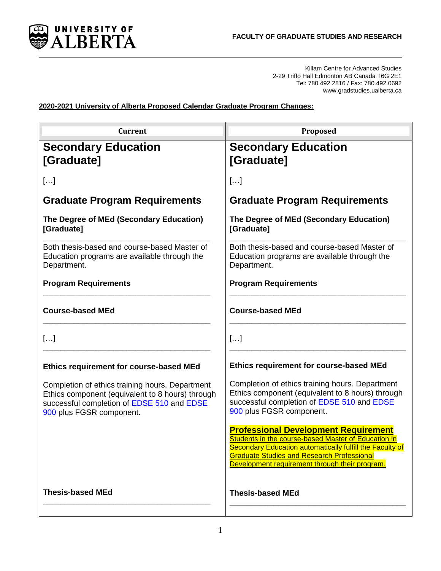

Killam Centre for Advanced Studies 2-29 Triffo Hall Edmonton AB Canada T6G 2E1 Tel: 780.492.2816 / Fax: 780.492.0692 www.gradstudies.ualberta.ca

**2020-2021 University of Alberta Proposed Calendar Graduate Program Changes:** 

| <b>Current</b>                                                                                                                                                                | Proposed                                                                                                                                                                                                                                                                     |
|-------------------------------------------------------------------------------------------------------------------------------------------------------------------------------|------------------------------------------------------------------------------------------------------------------------------------------------------------------------------------------------------------------------------------------------------------------------------|
| <b>Secondary Education</b><br>[Graduate]                                                                                                                                      | <b>Secondary Education</b><br>[Graduate]                                                                                                                                                                                                                                     |
| []                                                                                                                                                                            | $\left[\ldots\right]$                                                                                                                                                                                                                                                        |
| <b>Graduate Program Requirements</b>                                                                                                                                          | <b>Graduate Program Requirements</b>                                                                                                                                                                                                                                         |
| The Degree of MEd (Secondary Education)<br>[Graduate]                                                                                                                         | The Degree of MEd (Secondary Education)<br>[Graduate]                                                                                                                                                                                                                        |
| Both thesis-based and course-based Master of<br>Education programs are available through the<br>Department.                                                                   | Both thesis-based and course-based Master of<br>Education programs are available through the<br>Department.                                                                                                                                                                  |
| <b>Program Requirements</b>                                                                                                                                                   | <b>Program Requirements</b>                                                                                                                                                                                                                                                  |
| <b>Course-based MEd</b>                                                                                                                                                       | <b>Course-based MEd</b>                                                                                                                                                                                                                                                      |
| []                                                                                                                                                                            | $\left[\ldots\right]$                                                                                                                                                                                                                                                        |
| Ethics requirement for course-based MEd                                                                                                                                       | Ethics requirement for course-based MEd                                                                                                                                                                                                                                      |
| Completion of ethics training hours. Department<br>Ethics component (equivalent to 8 hours) through<br>successful completion of EDSE 510 and EDSE<br>900 plus FGSR component. | Completion of ethics training hours. Department<br>Ethics component (equivalent to 8 hours) through<br>successful completion of EDSE 510 and EDSE<br>900 plus FGSR component.                                                                                                |
|                                                                                                                                                                               | <b>Professional Development Requirement</b><br>Students in the course-based Master of Education in<br><b>Secondary Education automatically fulfill the Faculty of</b><br><b>Graduate Studies and Research Professional</b><br>Development requirement through their program. |
| <b>Thesis-based MEd</b>                                                                                                                                                       | <b>Thesis-based MEd</b>                                                                                                                                                                                                                                                      |